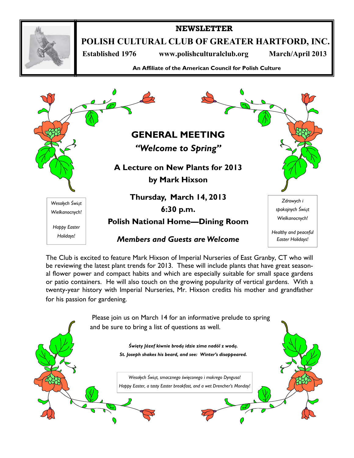

## **NEWSLETTER**

**POLISH CULTURAL CLUB OF GREATER HARTFORD, INC.** 

 **Established 1976 www.polishculturalclub.org March/April 2013** 

**An Affiliate of the American Council for Polish Culture** 



The Club is excited to feature Mark Hixson of Imperial Nurseries of East Granby, CT who will be reviewing the latest plant trends for 2013. These will include plants that have great seasonal flower power and compact habits and which are especially suitable for small space gardens or patio containers. He will also touch on the growing popularity of vertical gardens. With a twenty-year history with Imperial Nurseries, Mr. Hixson credits his mother and grandfather for his passion for gardening.

> Please join us on March 14 for an informative prelude to spring and be sure to bring a list of questions as well.

> > *Święty Józef kiwnie brodą idzie zima nadól z wodą. St. Joseph shakes his beard, and see: Winter's disappeared.*

*Wesołych Świąt, smacznego święconego i mokrego Dyngusa! Happy Easter, a tasty Easter breakfast, and a wet Drencher's Monday!*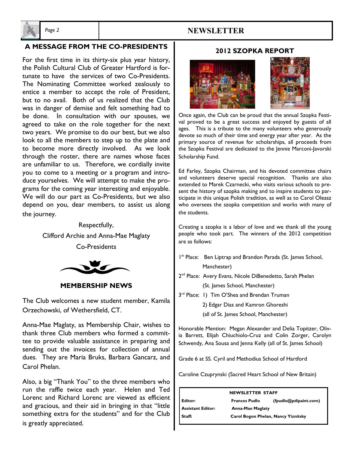

# *Page 2* **NEWSLETTER**

#### **A MESSAGE FROM THE CO-PRESIDENTS**

 For the first time in its thirty-six plus year history, . We will do our part as Co-Presidents, but we also the Polish Cultural Club of Greater Hartford is fortunate to have the services of two Co-Presidents. The Nominating Committee worked zealously to entice a member to accept the role of President, but to no avail. Both of us realized that the Club was in danger of demise and felt something had to be done. In consultation with our spouses, we agreed to take on the role together for the next two years. We promise to do our best, but we also look to all the members to step up to the plate and to become more directly involved. As we look through the roster, there are names whose faces are unfamiliar to us. Therefore, we cordially invite you to come to a meeting or a program and introduce yourselves. We will attempt to make the programs for the coming year interesting and enjoyable. depend on you, dear members, to assist us along the journey.

> Respectfully, Clifford Archie and Anna-Mae Maglaty Co-Presidents



**MEMBERSHIP NEWS** 

The Club welcomes a new student member, Kamila Orzechowski, of Wethersfield, CT.

Anna-Mae Maglaty, as Membership Chair, wishes to thank three Club members who formed a committee to provide valuable assistance in preparing and sending out the invoices for collection of annual dues. They are Maria Bruks, Barbara Gancarz, and Carol Phelan.

Also, a big "Thank You" to the three members who run the raffle twice each year. Helen and Ted Lorenc and Richard Lorenc are viewed as efficient and gracious, and their aid in bringing in that "little something extra for the students" and for the Club is greatly appreciated.

### **2012 SZOPKA REPORT**



Once again, the Club can be proud that the annual Szopka Festival proved to be a great success and enjoyed by guests of all ages. This is a tribute to the many volunteers who generously devote so much of their time and energy year after year. As the primary source of revenue for scholarships, all proceeds from the Szopka Festival are dedicated to the Jennie Marconi-Javorski Scholarship Fund.

Ed Farley, Szopka Chairman, and his devoted committee chairs and volunteers deserve special recognition. Thanks are also extended to Marek Czarnecki, who visits various schools to present the history of szopka making and to inspire students to participate in this unique Polish tradition, as well as to Carol Oleasz who oversees the szopka competition and works with many of the students.

Creating a szopka is a labor of love and we thank all the young people who took part. The winners of the 2012 competition are as follows:

I<sup>st</sup> Place: Ben Liptrap and Brandon Parada (St. James School, Manchester)

2<sup>nd</sup> Place: Avery Evans, Nicole DiBenedetto, Sarah Phelan

(St. James School, Manchester)

3<sup>rd</sup> Place: 1) Tim O'Shea and Brendan Truman

2) Edgar Dias and Kamron Ghoreshi

(all of St. James School, Manchester)

Honorable Mention: Megan Alexander and Delia Topitzer, Olivia Barrett, Elijah Chiuchiolo-Cruz and Colin Zorger, Carolyn Schwendy, Ana Sousa and Jenna Kelly (all of St. James School)

Grade 6 at SS. Cyril and Methodius School of Hartford

Caroline Czuprynski (Sacred Heart School of New Britain)

| <b>NEWSLETTER STAFF</b>  |                                     |                       |  |  |  |
|--------------------------|-------------------------------------|-----------------------|--|--|--|
| Editor:                  | <b>Frances Pudlo</b>                | (fpudlo@pdipaint.com) |  |  |  |
| <b>Assistant Editor:</b> | <b>Anna-Mae Maglaty</b>             |                       |  |  |  |
| Staff:                   | Carol Bogon Phelan, Nancy Yiznitsky |                       |  |  |  |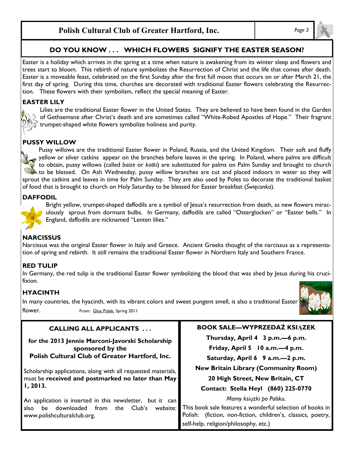# **Polish Cultural Club of Greater Hartford, Inc.** *Page 3*

# **DO YOU KNOW . . . WHICH FLOWERS SIGNIFY THE EASTER SEASON?**

Easter is a holiday which arrives in the spring at a time when nature is awakening from its winter sleep and flowers and trees start to bloom. This rebirth of nature symbolizes the Resurrection of Christ and the life that comes after death. Easter is a moveable feast, celebrated on the first Sunday after the first full moon that occurs on or after March 21, the first day of spring. During this time, churches are decorated with traditional Easter flowers celebrating the Resurrection. These flowers with their symbolism, reflect the special meaning of Easter.

#### **EASTER LILY**



Lilies are the traditional Easter flower in the United States. They are believed to have been found in the Garden of Gethsemane after Christ's death and are sometimes called "White-Robed Apostles of Hope." Their fragrant trumpet-shaped white flowers symbolize holiness and purity.

#### **PUSSY WILLOW**

Pussy willows are the traditional Easter flower in Poland, Russia, and the United Kingdom. Their soft and fluffy yellow or silver catkins appear on the branches before leaves in the spring. In Poland, where palms are difficult to obtain, pussy willows (called *baize* or *kotki*) are substituted for palms on Palm Sunday and brought to church to be blessed. On Ash Wednesday, pussy willow branches are cut and placed indoors in water so they will sprout the catkins and leaves in time for Palm Sunday. They are also used by Poles to decorate the traditional basket of food that is brought to church on Holy Saturday to be blessed for Easter breakfast (*Święconka*).

#### **DAFFODIL**

Bright yellow, trumpet-shaped daffodils are a symbol of Jesus's resurrection from death, as new flowers miraculously sprout from dormant bulbs. In Germany, daffodils are called "Osterglocken" or "Easter bells." In England, daffodils are nicknamed "Lenten lilies."

### **NARCISSUS**

Narcissus was the original Easter flower in Italy and Greece. Ancient Greeks thought of the narcissus as a representation of spring and rebirth. It still remains the traditional Easter flower in Northern Italy and Southern France.

### **RED TULIP**

In Germany, the red tulip is the traditional Easter flower symbolizing the blood that was shed by Jesus during his crucifixion.

### **HYACINTH**

In many countries, the hyacinth, with its vibrant colors and sweet pungent smell, is also a traditional Easter flower. From: Glos Polek, Spring 2011



### **CALLING ALL APPLICANTS . . .**

**for the 2013 Jennie Marconi-Javorski Scholarship sponsored by the Polish Cultural Club of Greater Hartford, Inc.** 

Scholarship applications, along with all requested materials, must be **received and postmarked no later than May 1, 2013.** 

An application is inserted in this newsletter, but it can also be downloaded from the Club's website: www.polishculturalclub.org.

#### **BOOK SALE—WYPRZEDAŻ KSIĄZEK**

**Thursday, April 4 3 p.m.—6 p.m.** 

**Friday, April 5 10 a.m.—4 p.m.** 

**Saturday, April 6 9 a.m.—2 p.m.** 

**New Britain Library (Community Room)** 

**20 High Street, New Britain, CT** 

**Contact: Stella Heyl (860) 225-0770** 

*Mamy ksiązki po Polsku.* 

This book sale features a wonderful selection of books in Polish: (fiction, non-fiction, children's, classics, poetry, self-help, religion/philosophy, etc.)